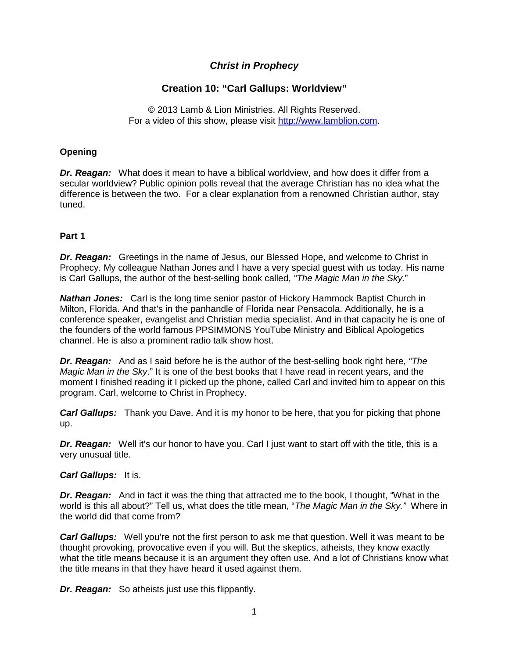# *Christ in Prophecy*

# **Creation 10: "Carl Gallups: Worldview"**

© 2013 Lamb & Lion Ministries. All Rights Reserved. For a video of this show, please visit [http://www.lamblion.com.](http://www.lamblion.com/)

# **Opening**

*Dr. Reagan:* What does it mean to have a biblical worldview, and how does it differ from a secular worldview? Public opinion polls reveal that the average Christian has no idea what the difference is between the two. For a clear explanation from a renowned Christian author, stay tuned.

# **Part 1**

*Dr. Reagan:* Greetings in the name of Jesus, our Blessed Hope, and welcome to Christ in Prophecy. My colleague Nathan Jones and I have a very special guest with us today. His name is Carl Gallups, the author of the best-selling book called, *"The Magic Man in the Sky.*"

*Nathan Jones:* Carl is the long time senior pastor of Hickory Hammock Baptist Church in Milton, Florida. And that's in the panhandle of Florida near Pensacola. Additionally, he is a conference speaker, evangelist and Christian media specialist. And in that capacity he is one of the founders of the world famous PPSIMMONS YouTube Ministry and Biblical Apologetics channel. He is also a prominent radio talk show host.

*Dr. Reagan:* And as I said before he is the author of the best-selling book right here, *"The Magic Man in the Sky*." It is one of the best books that I have read in recent years, and the moment I finished reading it I picked up the phone, called Carl and invited him to appear on this program. Carl, welcome to Christ in Prophecy.

*Carl Gallups:* Thank you Dave. And it is my honor to be here, that you for picking that phone up.

*Dr. Reagan:* Well it's our honor to have you. Carl I just want to start off with the title, this is a very unusual title.

### *Carl Gallups:* It is.

*Dr. Reagan:* And in fact it was the thing that attracted me to the book, I thought, "What in the world is this all about?" Tell us, what does the title mean, "*The Magic Man in the Sky."* Where in the world did that come from?

*Carl Gallups:* Well you're not the first person to ask me that question. Well it was meant to be thought provoking, provocative even if you will. But the skeptics, atheists, they know exactly what the title means because it is an argument they often use. And a lot of Christians know what the title means in that they have heard it used against them.

*Dr. Reagan:* So atheists just use this flippantly.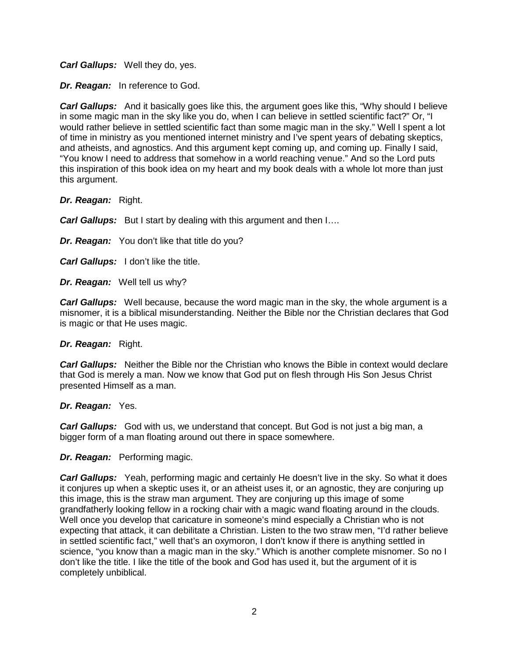*Carl Gallups:* Well they do, yes.

*Dr. Reagan:* In reference to God.

*Carl Gallups:* And it basically goes like this, the argument goes like this, "Why should I believe in some magic man in the sky like you do, when I can believe in settled scientific fact?" Or, "I would rather believe in settled scientific fact than some magic man in the sky." Well I spent a lot of time in ministry as you mentioned internet ministry and I've spent years of debating skeptics, and atheists, and agnostics. And this argument kept coming up, and coming up. Finally I said, "You know I need to address that somehow in a world reaching venue." And so the Lord puts this inspiration of this book idea on my heart and my book deals with a whole lot more than just this argument.

*Dr. Reagan:* Right.

*Carl Gallups:* But I start by dealing with this argument and then  $1...$ 

*Dr. Reagan:* You don't like that title do you?

*Carl Gallups:* I don't like the title.

*Dr. Reagan:* Well tell us why?

*Carl Gallups:* Well because, because the word magic man in the sky, the whole argument is a misnomer, it is a biblical misunderstanding. Neither the Bible nor the Christian declares that God is magic or that He uses magic.

### *Dr. Reagan:* Right.

*Carl Gallups:* Neither the Bible nor the Christian who knows the Bible in context would declare that God is merely a man. Now we know that God put on flesh through His Son Jesus Christ presented Himself as a man.

# *Dr. Reagan:* Yes.

*Carl Gallups:* God with us, we understand that concept. But God is not just a big man, a bigger form of a man floating around out there in space somewhere.

*Dr. Reagan:* Performing magic.

*Carl Gallups:* Yeah, performing magic and certainly He doesn't live in the sky. So what it does it conjures up when a skeptic uses it, or an atheist uses it, or an agnostic, they are conjuring up this image, this is the straw man argument. They are conjuring up this image of some grandfatherly looking fellow in a rocking chair with a magic wand floating around in the clouds. Well once you develop that caricature in someone's mind especially a Christian who is not expecting that attack, it can debilitate a Christian. Listen to the two straw men, "I'd rather believe in settled scientific fact," well that's an oxymoron, I don't know if there is anything settled in science, "you know than a magic man in the sky." Which is another complete misnomer. So no I don't like the title. I like the title of the book and God has used it, but the argument of it is completely unbiblical.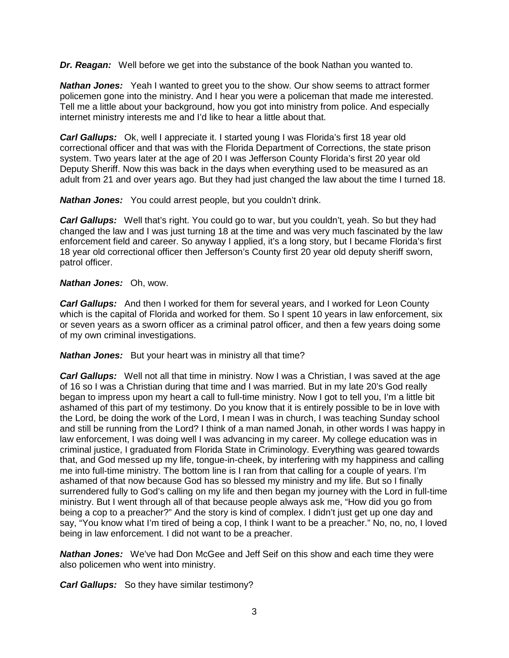*Dr. Reagan:* Well before we get into the substance of the book Nathan you wanted to.

*Nathan Jones:* Yeah I wanted to greet you to the show. Our show seems to attract former policemen gone into the ministry. And I hear you were a policeman that made me interested. Tell me a little about your background, how you got into ministry from police. And especially internet ministry interests me and I'd like to hear a little about that.

*Carl Gallups:* Ok, well I appreciate it. I started young I was Florida's first 18 year old correctional officer and that was with the Florida Department of Corrections, the state prison system. Two years later at the age of 20 I was Jefferson County Florida's first 20 year old Deputy Sheriff. Now this was back in the days when everything used to be measured as an adult from 21 and over years ago. But they had just changed the law about the time I turned 18.

*Nathan Jones:* You could arrest people, but you couldn't drink.

*Carl Gallups:* Well that's right. You could go to war, but you couldn't, yeah. So but they had changed the law and I was just turning 18 at the time and was very much fascinated by the law enforcement field and career. So anyway I applied, it's a long story, but I became Florida's first 18 year old correctional officer then Jefferson's County first 20 year old deputy sheriff sworn, patrol officer.

### *Nathan Jones:* Oh, wow.

*Carl Gallups:* And then I worked for them for several years, and I worked for Leon County which is the capital of Florida and worked for them. So I spent 10 years in law enforcement, six or seven years as a sworn officer as a criminal patrol officer, and then a few years doing some of my own criminal investigations.

*Nathan Jones:* But your heart was in ministry all that time?

*Carl Gallups:* Well not all that time in ministry. Now I was a Christian, I was saved at the age of 16 so I was a Christian during that time and I was married. But in my late 20's God really began to impress upon my heart a call to full-time ministry. Now I got to tell you, I'm a little bit ashamed of this part of my testimony. Do you know that it is entirely possible to be in love with the Lord, be doing the work of the Lord, I mean I was in church, I was teaching Sunday school and still be running from the Lord? I think of a man named Jonah, in other words I was happy in law enforcement, I was doing well I was advancing in my career. My college education was in criminal justice, I graduated from Florida State in Criminology. Everything was geared towards that, and God messed up my life, tongue-in-cheek, by interfering with my happiness and calling me into full-time ministry. The bottom line is I ran from that calling for a couple of years. I'm ashamed of that now because God has so blessed my ministry and my life. But so I finally surrendered fully to God's calling on my life and then began my journey with the Lord in full-time ministry. But I went through all of that because people always ask me, "How did you go from being a cop to a preacher?" And the story is kind of complex. I didn't just get up one day and say, "You know what I'm tired of being a cop, I think I want to be a preacher." No, no, no, I loved being in law enforcement. I did not want to be a preacher.

*Nathan Jones:* We've had Don McGee and Jeff Seif on this show and each time they were also policemen who went into ministry.

*Carl Gallups:* So they have similar testimony?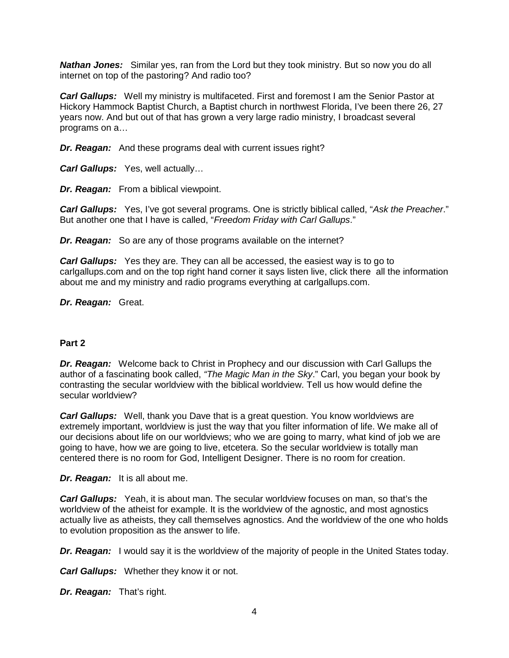*Nathan Jones:* Similar yes, ran from the Lord but they took ministry. But so now you do all internet on top of the pastoring? And radio too?

*Carl Gallups:* Well my ministry is multifaceted. First and foremost I am the Senior Pastor at Hickory Hammock Baptist Church, a Baptist church in northwest Florida, I've been there 26, 27 years now. And but out of that has grown a very large radio ministry, I broadcast several programs on a…

*Dr. Reagan:* And these programs deal with current issues right?

*Carl Gallups:* Yes, well actually…

*Dr. Reagan:* From a biblical viewpoint.

*Carl Gallups:* Yes, I've got several programs. One is strictly biblical called, "*Ask the Preacher*." But another one that I have is called, "*Freedom Friday with Carl Gallups*."

*Dr. Reagan:* So are any of those programs available on the internet?

*Carl Gallups:* Yes they are. They can all be accessed, the easiest way is to go to carlgallups.com and on the top right hand corner it says listen live, click there all the information about me and my ministry and radio programs everything at carlgallups.com.

*Dr. Reagan:* Great.

### **Part 2**

*Dr. Reagan:* Welcome back to Christ in Prophecy and our discussion with Carl Gallups the author of a fascinating book called, *"The Magic Man in the Sky*." Carl, you began your book by contrasting the secular worldview with the biblical worldview. Tell us how would define the secular worldview?

*Carl Gallups:* Well, thank you Dave that is a great question. You know worldviews are extremely important, worldview is just the way that you filter information of life. We make all of our decisions about life on our worldviews; who we are going to marry, what kind of job we are going to have, how we are going to live, etcetera. So the secular worldview is totally man centered there is no room for God, Intelligent Designer. There is no room for creation.

*Dr. Reagan:* It is all about me.

*Carl Gallups:* Yeah, it is about man. The secular worldview focuses on man, so that's the worldview of the atheist for example. It is the worldview of the agnostic, and most agnostics actually live as atheists, they call themselves agnostics. And the worldview of the one who holds to evolution proposition as the answer to life.

*Dr. Reagan:* I would say it is the worldview of the majority of people in the United States today.

*Carl Gallups:* Whether they know it or not.

*Dr. Reagan:* That's right.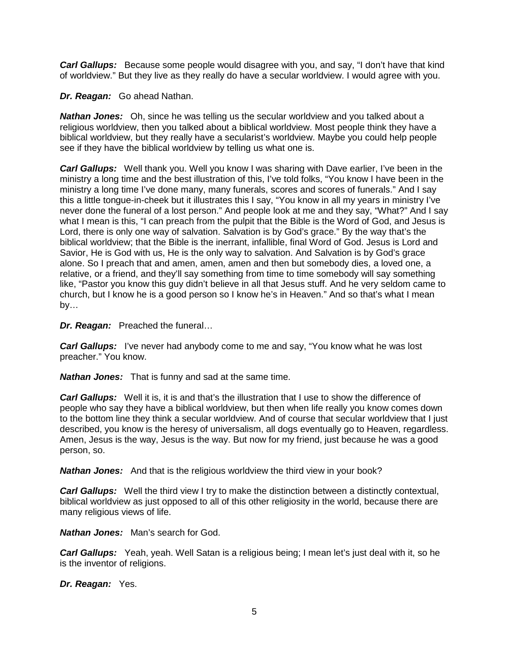*Carl Gallups:* Because some people would disagree with you, and say, "I don't have that kind of worldview." But they live as they really do have a secular worldview. I would agree with you.

*Dr. Reagan:* Go ahead Nathan.

*Nathan Jones:* Oh, since he was telling us the secular worldview and you talked about a religious worldview, then you talked about a biblical worldview. Most people think they have a biblical worldview, but they really have a secularist's worldview. Maybe you could help people see if they have the biblical worldview by telling us what one is.

*Carl Gallups:* Well thank you. Well you know I was sharing with Dave earlier, I've been in the ministry a long time and the best illustration of this, I've told folks, "You know I have been in the ministry a long time I've done many, many funerals, scores and scores of funerals." And I say this a little tongue-in-cheek but it illustrates this I say, "You know in all my years in ministry I've never done the funeral of a lost person." And people look at me and they say, "What?" And I say what I mean is this, "I can preach from the pulpit that the Bible is the Word of God, and Jesus is Lord, there is only one way of salvation. Salvation is by God's grace." By the way that's the biblical worldview; that the Bible is the inerrant, infallible, final Word of God. Jesus is Lord and Savior, He is God with us, He is the only way to salvation. And Salvation is by God's grace alone. So I preach that and amen, amen, amen and then but somebody dies, a loved one, a relative, or a friend, and they'll say something from time to time somebody will say something like, "Pastor you know this guy didn't believe in all that Jesus stuff. And he very seldom came to church, but I know he is a good person so I know he's in Heaven." And so that's what I mean by…

*Dr. Reagan:* Preached the funeral…

*Carl Gallups:* I've never had anybody come to me and say, "You know what he was lost preacher." You know.

*Nathan Jones:* That is funny and sad at the same time.

**Carl Gallups:** Well it is, it is and that's the illustration that I use to show the difference of people who say they have a biblical worldview, but then when life really you know comes down to the bottom line they think a secular worldview. And of course that secular worldview that I just described, you know is the heresy of universalism, all dogs eventually go to Heaven, regardless. Amen, Jesus is the way, Jesus is the way. But now for my friend, just because he was a good person, so.

**Nathan Jones:** And that is the religious worldview the third view in your book?

*Carl Gallups:* Well the third view I try to make the distinction between a distinctly contextual, biblical worldview as just opposed to all of this other religiosity in the world, because there are many religious views of life.

*Nathan Jones:* Man's search for God.

*Carl Gallups:* Yeah, yeah. Well Satan is a religious being; I mean let's just deal with it, so he is the inventor of religions.

*Dr. Reagan:* Yes.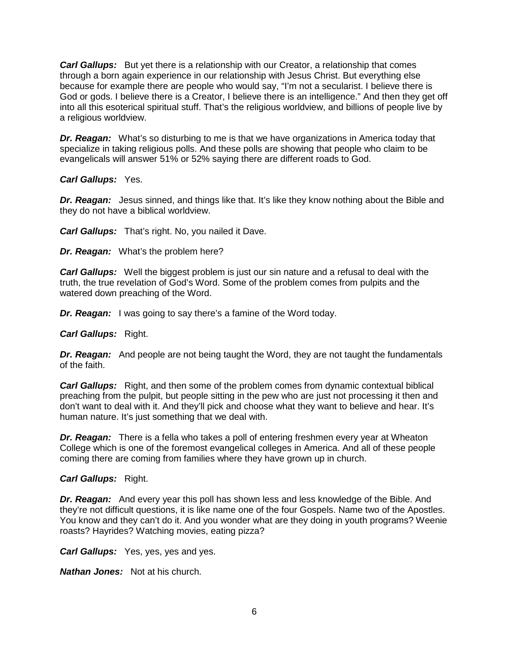*Carl Gallups:* But yet there is a relationship with our Creator, a relationship that comes through a born again experience in our relationship with Jesus Christ. But everything else because for example there are people who would say, "I'm not a secularist. I believe there is God or gods. I believe there is a Creator, I believe there is an intelligence." And then they get off into all this esoterical spiritual stuff. That's the religious worldview, and billions of people live by a religious worldview.

*Dr. Reagan:* What's so disturbing to me is that we have organizations in America today that specialize in taking religious polls. And these polls are showing that people who claim to be evangelicals will answer 51% or 52% saying there are different roads to God.

### *Carl Gallups:* Yes.

**Dr. Reagan:** Jesus sinned, and things like that. It's like they know nothing about the Bible and they do not have a biblical worldview.

*Carl Gallups:* That's right. No, you nailed it Dave.

*Dr. Reagan:* What's the problem here?

*Carl Gallups:* Well the biggest problem is just our sin nature and a refusal to deal with the truth, the true revelation of God's Word. Some of the problem comes from pulpits and the watered down preaching of the Word.

**Dr. Reagan:** I was going to say there's a famine of the Word today.

### *Carl Gallups:* Right.

*Dr. Reagan:* And people are not being taught the Word, they are not taught the fundamentals of the faith.

*Carl Gallups:* Right, and then some of the problem comes from dynamic contextual biblical preaching from the pulpit, but people sitting in the pew who are just not processing it then and don't want to deal with it. And they'll pick and choose what they want to believe and hear. It's human nature. It's just something that we deal with.

*Dr. Reagan:* There is a fella who takes a poll of entering freshmen every year at Wheaton College which is one of the foremost evangelical colleges in America. And all of these people coming there are coming from families where they have grown up in church.

# *Carl Gallups:* Right.

*Dr. Reagan:* And every year this poll has shown less and less knowledge of the Bible. And they're not difficult questions, it is like name one of the four Gospels. Name two of the Apostles. You know and they can't do it. And you wonder what are they doing in youth programs? Weenie roasts? Hayrides? Watching movies, eating pizza?

*Carl Gallups:* Yes, yes, yes and yes.

*Nathan Jones:* Not at his church.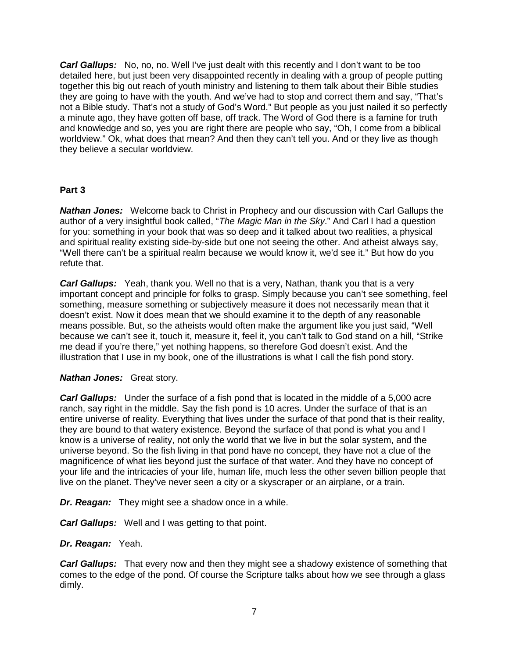*Carl Gallups:* No, no, no. Well I've just dealt with this recently and I don't want to be too detailed here, but just been very disappointed recently in dealing with a group of people putting together this big out reach of youth ministry and listening to them talk about their Bible studies they are going to have with the youth. And we've had to stop and correct them and say, "That's not a Bible study. That's not a study of God's Word." But people as you just nailed it so perfectly a minute ago, they have gotten off base, off track. The Word of God there is a famine for truth and knowledge and so, yes you are right there are people who say, "Oh, I come from a biblical worldview." Ok, what does that mean? And then they can't tell you. And or they live as though they believe a secular worldview.

### **Part 3**

*Nathan Jones:* Welcome back to Christ in Prophecy and our discussion with Carl Gallups the author of a very insightful book called, "*The Magic Man in the Sky*." And Carl I had a question for you: something in your book that was so deep and it talked about two realities, a physical and spiritual reality existing side-by-side but one not seeing the other. And atheist always say, "Well there can't be a spiritual realm because we would know it, we'd see it." But how do you refute that.

*Carl Gallups:* Yeah, thank you. Well no that is a very, Nathan, thank you that is a very important concept and principle for folks to grasp. Simply because you can't see something, feel something, measure something or subjectively measure it does not necessarily mean that it doesn't exist. Now it does mean that we should examine it to the depth of any reasonable means possible. But, so the atheists would often make the argument like you just said, "Well because we can't see it, touch it, measure it, feel it, you can't talk to God stand on a hill, "Strike me dead if you're there," yet nothing happens, so therefore God doesn't exist. And the illustration that I use in my book, one of the illustrations is what I call the fish pond story.

### *Nathan Jones:* Great story.

*Carl Gallups:* Under the surface of a fish pond that is located in the middle of a 5,000 acre ranch, say right in the middle. Say the fish pond is 10 acres. Under the surface of that is an entire universe of reality. Everything that lives under the surface of that pond that is their reality, they are bound to that watery existence. Beyond the surface of that pond is what you and I know is a universe of reality, not only the world that we live in but the solar system, and the universe beyond. So the fish living in that pond have no concept, they have not a clue of the magnificence of what lies beyond just the surface of that water. And they have no concept of your life and the intricacies of your life, human life, much less the other seven billion people that live on the planet. They've never seen a city or a skyscraper or an airplane, or a train.

*Dr. Reagan:* They might see a shadow once in a while.

*Carl Gallups:* Well and I was getting to that point.

### *Dr. Reagan:* Yeah.

*Carl Gallups:* That every now and then they might see a shadowy existence of something that comes to the edge of the pond. Of course the Scripture talks about how we see through a glass dimly.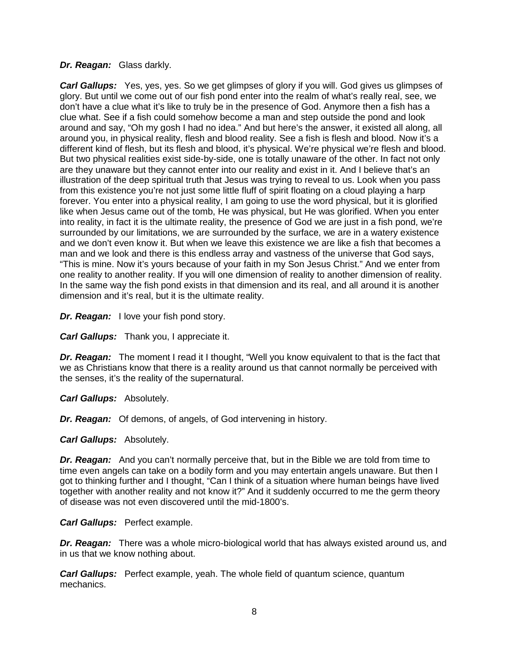### *Dr. Reagan:* Glass darkly.

*Carl Gallups:* Yes, yes, yes. So we get glimpses of glory if you will. God gives us glimpses of glory. But until we come out of our fish pond enter into the realm of what's really real, see, we don't have a clue what it's like to truly be in the presence of God. Anymore then a fish has a clue what. See if a fish could somehow become a man and step outside the pond and look around and say, "Oh my gosh I had no idea." And but here's the answer, it existed all along, all around you, in physical reality, flesh and blood reality. See a fish is flesh and blood. Now it's a different kind of flesh, but its flesh and blood, it's physical. We're physical we're flesh and blood. But two physical realities exist side-by-side, one is totally unaware of the other. In fact not only are they unaware but they cannot enter into our reality and exist in it. And I believe that's an illustration of the deep spiritual truth that Jesus was trying to reveal to us. Look when you pass from this existence you're not just some little fluff of spirit floating on a cloud playing a harp forever. You enter into a physical reality, I am going to use the word physical, but it is glorified like when Jesus came out of the tomb, He was physical, but He was glorified. When you enter into reality, in fact it is the ultimate reality, the presence of God we are just in a fish pond, we're surrounded by our limitations, we are surrounded by the surface, we are in a watery existence and we don't even know it. But when we leave this existence we are like a fish that becomes a man and we look and there is this endless array and vastness of the universe that God says, "This is mine. Now it's yours because of your faith in my Son Jesus Christ." And we enter from one reality to another reality. If you will one dimension of reality to another dimension of reality. In the same way the fish pond exists in that dimension and its real, and all around it is another dimension and it's real, but it is the ultimate reality.

*Dr. Reagan:* I love your fish pond story.

*Carl Gallups:* Thank you, I appreciate it.

*Dr. Reagan:* The moment I read it I thought, "Well you know equivalent to that is the fact that we as Christians know that there is a reality around us that cannot normally be perceived with the senses, it's the reality of the supernatural.

*Carl Gallups:* Absolutely.

*Dr. Reagan:* Of demons, of angels, of God intervening in history.

*Carl Gallups:* Absolutely.

*Dr. Reagan:* And you can't normally perceive that, but in the Bible we are told from time to time even angels can take on a bodily form and you may entertain angels unaware. But then I got to thinking further and I thought, "Can I think of a situation where human beings have lived together with another reality and not know it?" And it suddenly occurred to me the germ theory of disease was not even discovered until the mid-1800's.

### *Carl Gallups:* Perfect example.

*Dr. Reagan:* There was a whole micro-biological world that has always existed around us, and in us that we know nothing about.

*Carl Gallups:* Perfect example, yeah. The whole field of quantum science, quantum mechanics.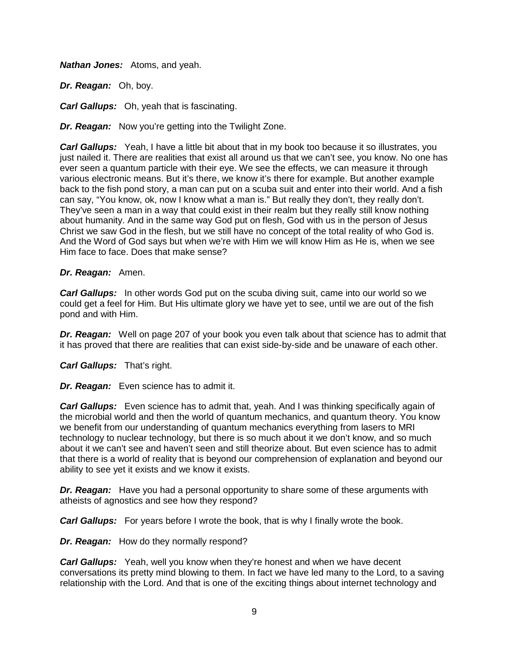*Nathan Jones:* Atoms, and yeah.

*Dr. Reagan:* Oh, boy.

*Carl Gallups:* Oh, yeah that is fascinating.

*Dr. Reagan:* Now you're getting into the Twilight Zone.

*Carl Gallups:* Yeah, I have a little bit about that in my book too because it so illustrates, you just nailed it. There are realities that exist all around us that we can't see, you know. No one has ever seen a quantum particle with their eye. We see the effects, we can measure it through various electronic means. But it's there, we know it's there for example. But another example back to the fish pond story, a man can put on a scuba suit and enter into their world. And a fish can say, "You know, ok, now I know what a man is." But really they don't, they really don't. They've seen a man in a way that could exist in their realm but they really still know nothing about humanity. And in the same way God put on flesh, God with us in the person of Jesus Christ we saw God in the flesh, but we still have no concept of the total reality of who God is. And the Word of God says but when we're with Him we will know Him as He is, when we see Him face to face. Does that make sense?

### *Dr. Reagan:* Amen.

*Carl Gallups:* In other words God put on the scuba diving suit, came into our world so we could get a feel for Him. But His ultimate glory we have yet to see, until we are out of the fish pond and with Him.

*Dr. Reagan:* Well on page 207 of your book you even talk about that science has to admit that it has proved that there are realities that can exist side-by-side and be unaware of each other.

*Carl Gallups:* That's right.

*Dr. Reagan:* Even science has to admit it.

**Carl Gallups:** Even science has to admit that, yeah. And I was thinking specifically again of the microbial world and then the world of quantum mechanics, and quantum theory. You know we benefit from our understanding of quantum mechanics everything from lasers to MRI technology to nuclear technology, but there is so much about it we don't know, and so much about it we can't see and haven't seen and still theorize about. But even science has to admit that there is a world of reality that is beyond our comprehension of explanation and beyond our ability to see yet it exists and we know it exists.

*Dr. Reagan:* Have you had a personal opportunity to share some of these arguments with atheists of agnostics and see how they respond?

*Carl Gallups:* For years before I wrote the book, that is why I finally wrote the book.

*Dr. Reagan:* How do they normally respond?

*Carl Gallups:* Yeah, well you know when they're honest and when we have decent conversations its pretty mind blowing to them. In fact we have led many to the Lord, to a saving relationship with the Lord. And that is one of the exciting things about internet technology and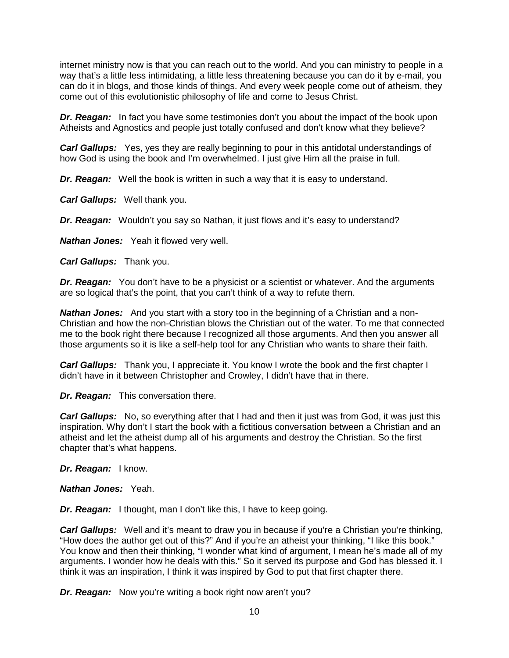internet ministry now is that you can reach out to the world. And you can ministry to people in a way that's a little less intimidating, a little less threatening because you can do it by e-mail, you can do it in blogs, and those kinds of things. And every week people come out of atheism, they come out of this evolutionistic philosophy of life and come to Jesus Christ.

*Dr. Reagan:* In fact you have some testimonies don't you about the impact of the book upon Atheists and Agnostics and people just totally confused and don't know what they believe?

*Carl Gallups:* Yes, yes they are really beginning to pour in this antidotal understandings of how God is using the book and I'm overwhelmed. I just give Him all the praise in full.

*Dr. Reagan:* Well the book is written in such a way that it is easy to understand.

*Carl Gallups:* Well thank you.

*Dr. Reagan:* Wouldn't you say so Nathan, it just flows and it's easy to understand?

*Nathan Jones:* Yeah it flowed very well.

*Carl Gallups:* Thank you.

*Dr. Reagan:* You don't have to be a physicist or a scientist or whatever. And the arguments are so logical that's the point, that you can't think of a way to refute them.

*Nathan Jones:* And you start with a story too in the beginning of a Christian and a non-Christian and how the non-Christian blows the Christian out of the water. To me that connected me to the book right there because I recognized all those arguments. And then you answer all those arguments so it is like a self-help tool for any Christian who wants to share their faith.

**Carl Gallups:** Thank you, I appreciate it. You know I wrote the book and the first chapter I didn't have in it between Christopher and Crowley, I didn't have that in there.

*Dr. Reagan:* This conversation there.

*Carl Gallups:* No, so everything after that I had and then it just was from God, it was just this inspiration. Why don't I start the book with a fictitious conversation between a Christian and an atheist and let the atheist dump all of his arguments and destroy the Christian. So the first chapter that's what happens.

*Dr. Reagan:* I know.

*Nathan Jones:* Yeah.

*Dr. Reagan:* I thought, man I don't like this, I have to keep going.

**Carl Gallups:** Well and it's meant to draw you in because if you're a Christian you're thinking, "How does the author get out of this?" And if you're an atheist your thinking, "I like this book." You know and then their thinking, "I wonder what kind of argument, I mean he's made all of my arguments. I wonder how he deals with this." So it served its purpose and God has blessed it. I think it was an inspiration, I think it was inspired by God to put that first chapter there.

*Dr. Reagan:* Now you're writing a book right now aren't you?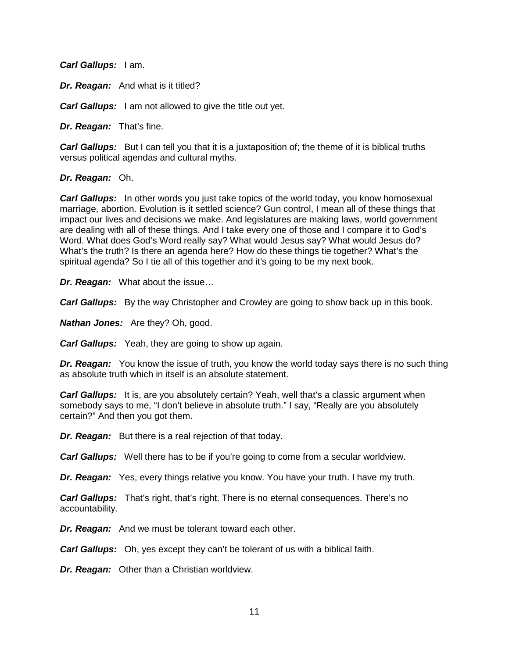*Carl Gallups:* I am.

*Dr. Reagan:* And what is it titled?

*Carl Gallups:* I am not allowed to give the title out yet.

*Dr. Reagan:* That's fine.

*Carl Gallups:* But I can tell you that it is a juxtaposition of; the theme of it is biblical truths versus political agendas and cultural myths.

#### *Dr. Reagan:* Oh.

*Carl Gallups:* In other words you just take topics of the world today, you know homosexual marriage, abortion. Evolution is it settled science? Gun control, I mean all of these things that impact our lives and decisions we make. And legislatures are making laws, world government are dealing with all of these things. And I take every one of those and I compare it to God's Word. What does God's Word really say? What would Jesus say? What would Jesus do? What's the truth? Is there an agenda here? How do these things tie together? What's the spiritual agenda? So I tie all of this together and it's going to be my next book.

*Dr. Reagan:* What about the issue…

*Carl Gallups:* By the way Christopher and Crowley are going to show back up in this book.

*Nathan Jones:* Are they? Oh, good.

*Carl Gallups:* Yeah, they are going to show up again.

*Dr. Reagan:* You know the issue of truth, you know the world today says there is no such thing as absolute truth which in itself is an absolute statement.

*Carl Gallups:* It is, are you absolutely certain? Yeah, well that's a classic argument when somebody says to me, "I don't believe in absolute truth." I say, "Really are you absolutely certain?" And then you got them.

*Dr. Reagan:* But there is a real rejection of that today.

*Carl Gallups:* Well there has to be if you're going to come from a secular worldview.

*Dr. Reagan:* Yes, every things relative you know. You have your truth. I have my truth.

*Carl Gallups:* That's right, that's right. There is no eternal consequences. There's no accountability.

*Dr. Reagan:* And we must be tolerant toward each other.

*Carl Gallups:* Oh, yes except they can't be tolerant of us with a biblical faith.

*Dr. Reagan:* Other than a Christian worldview.